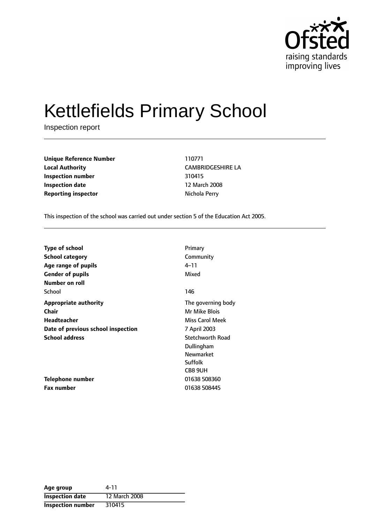

# Kettlefields Primary School

Inspection report

**Unique Reference Number** 110771 **Local Authority** CAMBRIDGESHIRE LA **Inspection number** 310415 **Inspection date** 12 March 2008 **Reporting inspector Nichola Perry** 

This inspection of the school was carried out under section 5 of the Education Act 2005.

| <b>Type of school</b>              | Primary                 |
|------------------------------------|-------------------------|
| <b>School category</b>             | Community               |
| Age range of pupils                | 4–11                    |
| <b>Gender of pupils</b>            | Mixed                   |
| <b>Number on roll</b>              |                         |
| School                             | 146                     |
| <b>Appropriate authority</b>       | The governing body      |
| Chair                              | Mr Mike Blois           |
| Headteacher                        | Miss Carol Meek         |
| Date of previous school inspection | 7 April 2003            |
| <b>School address</b>              | <b>Stetchworth Road</b> |
|                                    | Dullingham              |
|                                    | <b>Newmarket</b>        |
|                                    | Suffolk                 |
|                                    | CB8 9UH                 |
| <b>Telephone number</b>            | 01638 508360            |
| <b>Fax number</b>                  | 01638 508445            |

| Age group                | 4-11          |
|--------------------------|---------------|
| <b>Inspection date</b>   | 12 March 2008 |
| <b>Inspection number</b> | 310415        |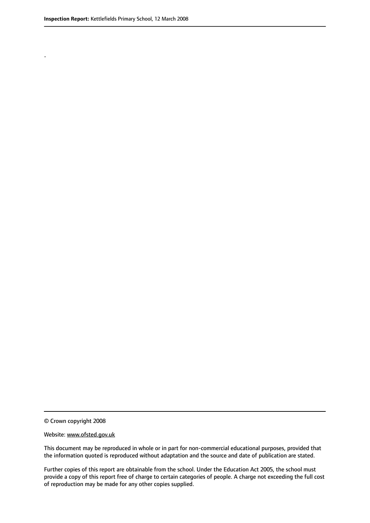.

© Crown copyright 2008

#### Website: www.ofsted.gov.uk

This document may be reproduced in whole or in part for non-commercial educational purposes, provided that the information quoted is reproduced without adaptation and the source and date of publication are stated.

Further copies of this report are obtainable from the school. Under the Education Act 2005, the school must provide a copy of this report free of charge to certain categories of people. A charge not exceeding the full cost of reproduction may be made for any other copies supplied.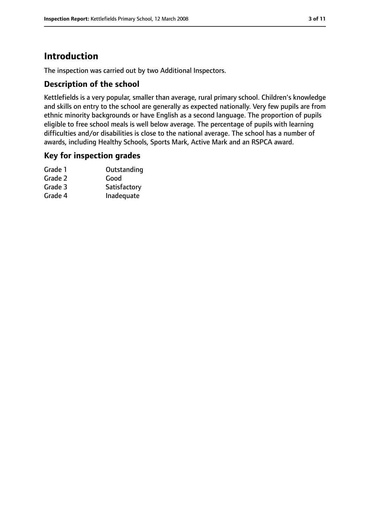### **Introduction**

The inspection was carried out by two Additional Inspectors.

### **Description of the school**

Kettlefields is a very popular, smaller than average, rural primary school. Children's knowledge and skills on entry to the school are generally as expected nationally. Very few pupils are from ethnic minority backgrounds or have English as a second language. The proportion of pupils eligible to free school meals is well below average. The percentage of pupils with learning difficulties and/or disabilities is close to the national average. The school has a number of awards, including Healthy Schools, Sports Mark, Active Mark and an RSPCA award.

#### **Key for inspection grades**

| Outstanding  |
|--------------|
| Good         |
| Satisfactory |
| Inadequate   |
|              |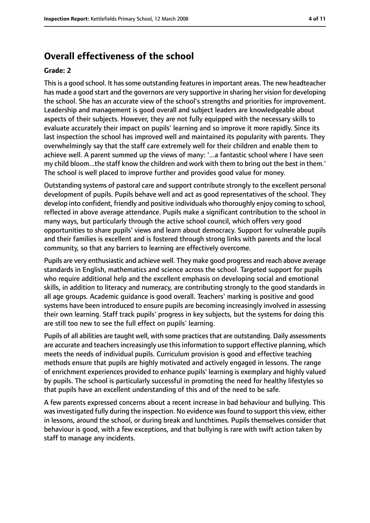### **Overall effectiveness of the school**

#### **Grade: 2**

This is a good school. It has some outstanding features in important areas. The new headteacher has made a good start and the governors are very supportive in sharing her vision for developing the school. She has an accurate view of the school's strengths and priorities for improvement. Leadership and management is good overall and subject leaders are knowledgeable about aspects of their subjects. However, they are not fully equipped with the necessary skills to evaluate accurately their impact on pupils' learning and so improve it more rapidly. Since its last inspection the school has improved well and maintained its popularity with parents. They overwhelmingly say that the staff care extremely well for their children and enable them to achieve well. A parent summed up the views of many: '...a fantastic school where I have seen my child bloom...the staff know the children and work with them to bring out the best in them.' The school is well placed to improve further and provides good value for money.

Outstanding systems of pastoral care and support contribute strongly to the excellent personal development of pupils. Pupils behave well and act as good representatives of the school. They develop into confident, friendly and positive individuals who thoroughly enjoy coming to school, reflected in above average attendance. Pupils make a significant contribution to the school in many ways, but particularly through the active school council, which offers very good opportunities to share pupils' views and learn about democracy. Support for vulnerable pupils and their families is excellent and is fostered through strong links with parents and the local community, so that any barriers to learning are effectively overcome.

Pupils are very enthusiastic and achieve well. They make good progress and reach above average standards in English, mathematics and science across the school. Targeted support for pupils who require additional help and the excellent emphasis on developing social and emotional skills, in addition to literacy and numeracy, are contributing strongly to the good standards in all age groups. Academic guidance is good overall. Teachers' marking is positive and good systems have been introduced to ensure pupils are becoming increasingly involved in assessing their own learning. Staff track pupils' progress in key subjects, but the systems for doing this are still too new to see the full effect on pupils' learning.

Pupils of all abilities are taught well, with some practices that are outstanding. Daily assessments are accurate and teachers increasingly use this information to support effective planning, which meets the needs of individual pupils. Curriculum provision is good and effective teaching methods ensure that pupils are highly motivated and actively engaged in lessons. The range of enrichment experiences provided to enhance pupils' learning is exemplary and highly valued by pupils. The school is particularly successful in promoting the need for healthy lifestyles so that pupils have an excellent understanding of this and of the need to be safe.

A few parents expressed concerns about a recent increase in bad behaviour and bullying. This wasinvestigated fully during the inspection. No evidence wasfound to support this view, either in lessons, around the school, or during break and lunchtimes. Pupils themselves consider that behaviour is good, with a few exceptions, and that bullying is rare with swift action taken by staff to manage any incidents.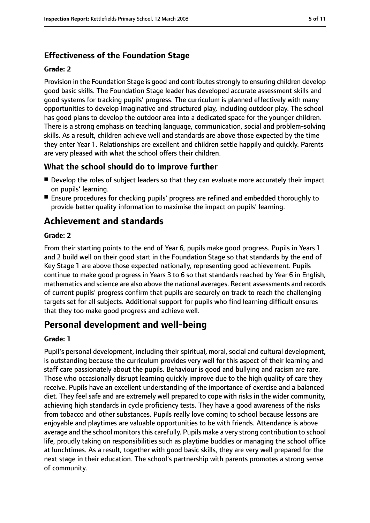### **Effectiveness of the Foundation Stage**

#### **Grade: 2**

Provision in the Foundation Stage is good and contributes strongly to ensuring children develop good basic skills. The Foundation Stage leader has developed accurate assessment skills and good systems for tracking pupils' progress. The curriculum is planned effectively with many opportunities to develop imaginative and structured play, including outdoor play. The school has good plans to develop the outdoor area into a dedicated space for the younger children. There is a strong emphasis on teaching language, communication, social and problem-solving skills. As a result, children achieve well and standards are above those expected by the time they enter Year 1. Relationships are excellent and children settle happily and quickly. Parents are very pleased with what the school offers their children.

### **What the school should do to improve further**

- Develop the roles of subject leaders so that they can evaluate more accurately their impact on pupils' learning.
- Ensure procedures for checking pupils' progress are refined and embedded thoroughly to provide better quality information to maximise the impact on pupils' learning.

### **Achievement and standards**

#### **Grade: 2**

From their starting points to the end of Year 6, pupils make good progress. Pupils in Years 1 and 2 build well on their good start in the Foundation Stage so that standards by the end of Key Stage 1 are above those expected nationally, representing good achievement. Pupils continue to make good progress in Years 3 to 6 so that standards reached by Year 6 in English, mathematics and science are also above the national averages. Recent assessments and records of current pupils' progress confirm that pupils are securely on track to reach the challenging targets set for all subjects. Additional support for pupils who find learning difficult ensures that they too make good progress and achieve well.

### **Personal development and well-being**

#### **Grade: 1**

Pupil's personal development, including their spiritual, moral, social and cultural development, is outstanding because the curriculum provides very well for this aspect of their learning and staff care passionately about the pupils. Behaviour is good and bullying and racism are rare. Those who occasionally disrupt learning quickly improve due to the high quality of care they receive. Pupils have an excellent understanding of the importance of exercise and a balanced diet. They feel safe and are extremely well prepared to cope with risks in the wider community, achieving high standards in cycle proficiency tests. They have a good awareness of the risks from tobacco and other substances. Pupils really love coming to school because lessons are enjoyable and playtimes are valuable opportunities to be with friends. Attendance is above average and the school monitors this carefully. Pupils make a very strong contribution to school life, proudly taking on responsibilities such as playtime buddies or managing the school office at lunchtimes. As a result, together with good basic skills, they are very well prepared for the next stage in their education. The school's partnership with parents promotes a strong sense of community.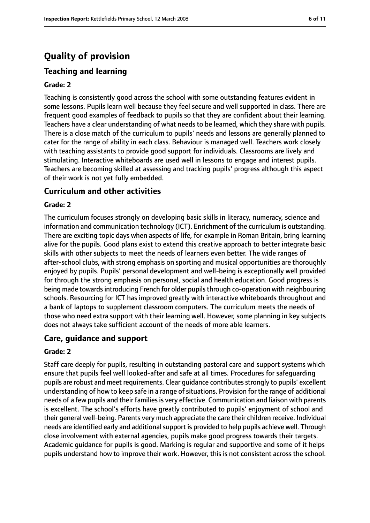### **Quality of provision**

### **Teaching and learning**

#### **Grade: 2**

Teaching is consistently good across the school with some outstanding features evident in some lessons. Pupils learn well because they feel secure and well supported in class. There are frequent good examples of feedback to pupils so that they are confident about their learning. Teachers have a clear understanding of what needs to be learned, which they share with pupils. There is a close match of the curriculum to pupils' needs and lessons are generally planned to cater for the range of ability in each class. Behaviour is managed well. Teachers work closely with teaching assistants to provide good support for individuals. Classrooms are lively and stimulating. Interactive whiteboards are used well in lessons to engage and interest pupils. Teachers are becoming skilled at assessing and tracking pupils' progress although this aspect of their work is not yet fully embedded.

#### **Curriculum and other activities**

#### **Grade: 2**

The curriculum focuses strongly on developing basic skills in literacy, numeracy, science and information and communication technology (ICT). Enrichment of the curriculum is outstanding. There are exciting topic days when aspects of life, for example in Roman Britain, bring learning alive for the pupils. Good plans exist to extend this creative approach to better integrate basic skills with other subjects to meet the needs of learners even better. The wide ranges of after-school clubs, with strong emphasis on sporting and musical opportunities are thoroughly enjoyed by pupils. Pupils' personal development and well-being is exceptionally well provided for through the strong emphasis on personal, social and health education. Good progress is being made towards introducing French for older pupils through co-operation with neighbouring schools. Resourcing for ICT has improved greatly with interactive whiteboards throughout and a bank of laptops to supplement classroom computers. The curriculum meets the needs of those who need extra support with their learning well. However, some planning in key subjects does not always take sufficient account of the needs of more able learners.

#### **Care, guidance and support**

#### **Grade: 2**

Staff care deeply for pupils, resulting in outstanding pastoral care and support systems which ensure that pupils feel well looked-after and safe at all times. Procedures for safeguarding pupils are robust and meet requirements. Clear quidance contributes strongly to pupils' excellent understanding of how to keep safe in a range of situations. Provision for the range of additional needs of a few pupils and their families is very effective. Communication and liaison with parents is excellent. The school's efforts have greatly contributed to pupils' enjoyment of school and their general well-being. Parents very much appreciate the care their children receive. Individual needs are identified early and additional support is provided to help pupils achieve well. Through close involvement with external agencies, pupils make good progress towards their targets. Academic guidance for pupils is good. Marking is regular and supportive and some of it helps pupils understand how to improve their work. However, this is not consistent across the school.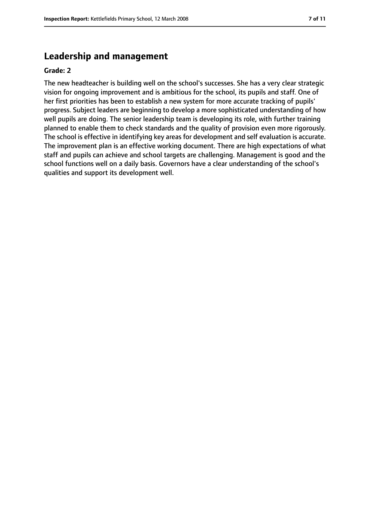### **Leadership and management**

#### **Grade: 2**

The new headteacher is building well on the school's successes. She has a very clear strategic vision for ongoing improvement and is ambitious for the school, its pupils and staff. One of her first priorities has been to establish a new system for more accurate tracking of pupils' progress. Subject leaders are beginning to develop a more sophisticated understanding of how well pupils are doing. The senior leadership team is developing its role, with further training planned to enable them to check standards and the quality of provision even more rigorously. The school is effective in identifying key areas for development and self evaluation is accurate. The improvement plan is an effective working document. There are high expectations of what staff and pupils can achieve and school targets are challenging. Management is good and the school functions well on a daily basis. Governors have a clear understanding of the school's qualities and support its development well.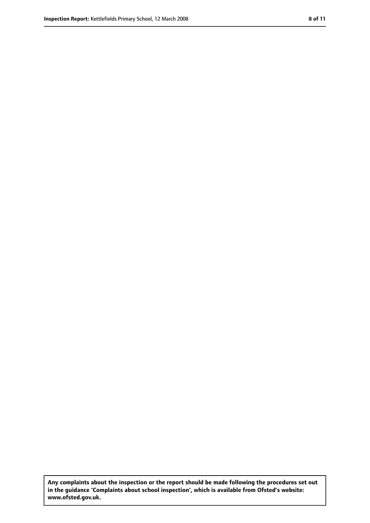**Any complaints about the inspection or the report should be made following the procedures set out in the guidance 'Complaints about school inspection', which is available from Ofsted's website: www.ofsted.gov.uk.**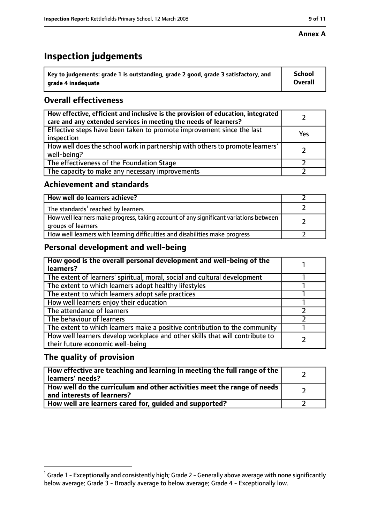#### **Annex A**

### **Inspection judgements**

| $^{\backprime}$ Key to judgements: grade 1 is outstanding, grade 2 good, grade 3 satisfactory, and | <b>School</b>  |
|----------------------------------------------------------------------------------------------------|----------------|
| arade 4 inadequate                                                                                 | <b>Overall</b> |

### **Overall effectiveness**

| How effective, efficient and inclusive is the provision of education, integrated<br>care and any extended services in meeting the needs of learners? |     |
|------------------------------------------------------------------------------------------------------------------------------------------------------|-----|
| Effective steps have been taken to promote improvement since the last<br>inspection                                                                  | Yes |
| How well does the school work in partnership with others to promote learners'<br>well-being?                                                         |     |
| The effectiveness of the Foundation Stage                                                                                                            |     |
| The capacity to make any necessary improvements                                                                                                      |     |

### **Achievement and standards**

| How well do learners achieve?                                                                               |  |
|-------------------------------------------------------------------------------------------------------------|--|
| The standards <sup>1</sup> reached by learners                                                              |  |
| How well learners make progress, taking account of any significant variations between<br>groups of learners |  |
| How well learners with learning difficulties and disabilities make progress                                 |  |

### **Personal development and well-being**

| How good is the overall personal development and well-being of the<br>learners?                                  |  |
|------------------------------------------------------------------------------------------------------------------|--|
| The extent of learners' spiritual, moral, social and cultural development                                        |  |
| The extent to which learners adopt healthy lifestyles                                                            |  |
| The extent to which learners adopt safe practices                                                                |  |
| How well learners enjoy their education                                                                          |  |
| The attendance of learners                                                                                       |  |
| The behaviour of learners                                                                                        |  |
| The extent to which learners make a positive contribution to the community                                       |  |
| How well learners develop workplace and other skills that will contribute to<br>their future economic well-being |  |

### **The quality of provision**

| How effective are teaching and learning in meeting the full range of the<br>learners' needs?          |  |
|-------------------------------------------------------------------------------------------------------|--|
| How well do the curriculum and other activities meet the range of needs<br>and interests of learners? |  |
| How well are learners cared for, guided and supported?                                                |  |

 $^1$  Grade 1 - Exceptionally and consistently high; Grade 2 - Generally above average with none significantly below average; Grade 3 - Broadly average to below average; Grade 4 - Exceptionally low.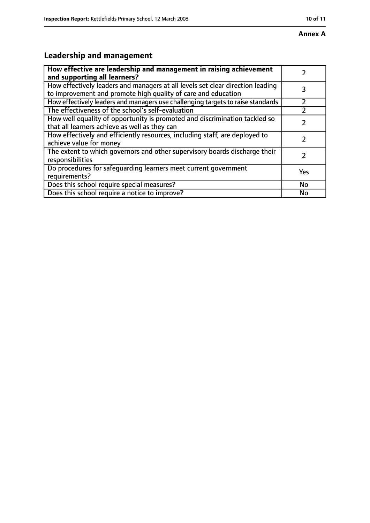## **Annex A**

### **Leadership and management**

| How effective are leadership and management in raising achievement              |     |
|---------------------------------------------------------------------------------|-----|
| and supporting all learners?                                                    |     |
| How effectively leaders and managers at all levels set clear direction leading  |     |
| to improvement and promote high quality of care and education                   |     |
| How effectively leaders and managers use challenging targets to raise standards |     |
| The effectiveness of the school's self-evaluation                               |     |
| How well equality of opportunity is promoted and discrimination tackled so      |     |
| that all learners achieve as well as they can                                   |     |
| How effectively and efficiently resources, including staff, are deployed to     | 7   |
| achieve value for money                                                         |     |
| The extent to which governors and other supervisory boards discharge their      |     |
| responsibilities                                                                |     |
| Do procedures for safequarding learners meet current government                 | Yes |
| requirements?                                                                   |     |
| Does this school require special measures?                                      | No  |
| Does this school require a notice to improve?                                   | No  |